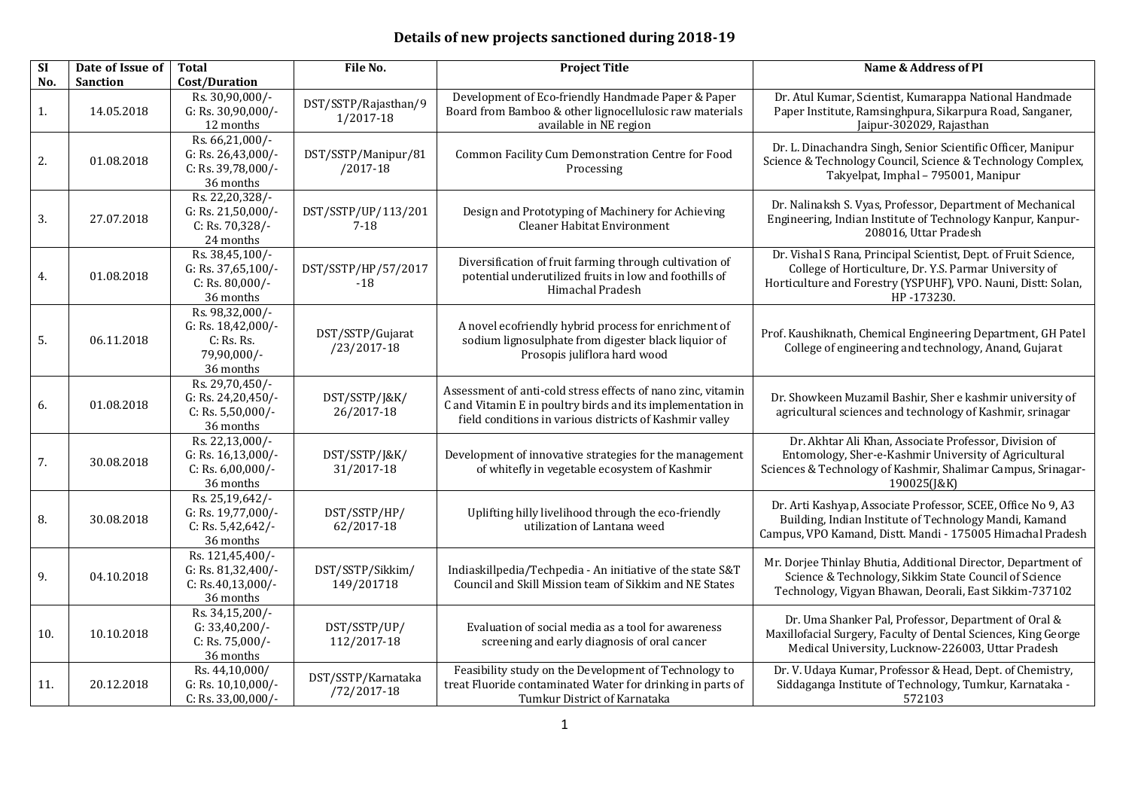## **Details of new projects sanctioned during 2018-19**

| SI  | Date of Issue of | <b>Total</b>                                                                    | File No.                          | <b>Project Title</b>                                                                                                                                                                  | <b>Name &amp; Address of PI</b>                                                                                                                                                                          |
|-----|------------------|---------------------------------------------------------------------------------|-----------------------------------|---------------------------------------------------------------------------------------------------------------------------------------------------------------------------------------|----------------------------------------------------------------------------------------------------------------------------------------------------------------------------------------------------------|
| No. | <b>Sanction</b>  | Cost/Duration                                                                   |                                   |                                                                                                                                                                                       |                                                                                                                                                                                                          |
| 1.  | 14.05.2018       | Rs. 30,90,000/-<br>G: Rs. 30,90,000/-<br>12 months                              | DST/SSTP/Rajasthan/9<br>1/2017-18 | Development of Eco-friendly Handmade Paper & Paper<br>Board from Bamboo & other lignocellulosic raw materials<br>available in NE region                                               | Dr. Atul Kumar, Scientist, Kumarappa National Handmade<br>Paper Institute, Ramsinghpura, Sikarpura Road, Sanganer,<br>Jaipur-302029, Rajasthan                                                           |
| 2.  | 01.08.2018       | Rs. 66,21,000/-<br>G: Rs. 26,43,000/-<br>C: Rs. 39,78,000/-<br>36 months        | DST/SSTP/Manipur/81<br>$/2017-18$ | Common Facility Cum Demonstration Centre for Food<br>Processing                                                                                                                       | Dr. L. Dinachandra Singh, Senior Scientific Officer, Manipur<br>Science & Technology Council, Science & Technology Complex,<br>Takyelpat, Imphal - 795001, Manipur                                       |
| 3.  | 27.07.2018       | Rs. 22,20,328/-<br>G: Rs. 21,50,000/-<br>C: Rs. 70,328/-<br>24 months           | DST/SSTP/UP/113/201<br>$7 - 18$   | Design and Prototyping of Machinery for Achieving<br><b>Cleaner Habitat Environment</b>                                                                                               | Dr. Nalinaksh S. Vyas, Professor, Department of Mechanical<br>Engineering, Indian Institute of Technology Kanpur, Kanpur-<br>208016, Uttar Pradesh                                                       |
| 4.  | 01.08.2018       | Rs. 38,45,100/-<br>G: Rs. 37,65,100/-<br>C: Rs. 80,000/-<br>36 months           | DST/SSTP/HP/57/2017<br>$-18$      | Diversification of fruit farming through cultivation of<br>potential underutilized fruits in low and foothills of<br>Himachal Pradesh                                                 | Dr. Vishal S Rana, Principal Scientist, Dept. of Fruit Science,<br>College of Horticulture, Dr. Y.S. Parmar University of<br>Horticulture and Forestry (YSPUHF), VPO. Nauni, Distt: Solan,<br>HP-173230. |
| 5.  | 06.11.2018       | Rs. 98,32,000/-<br>G: Rs. 18,42,000/-<br>C: Rs. Rs.<br>79,90,000/-<br>36 months | DST/SSTP/Gujarat<br>$/23/2017-18$ | A novel ecofriendly hybrid process for enrichment of<br>sodium lignosulphate from digester black liquior of<br>Prosopis juliflora hard wood                                           | Prof. Kaushiknath, Chemical Engineering Department, GH Patel<br>College of engineering and technology, Anand, Gujarat                                                                                    |
| 6.  | 01.08.2018       | Rs. 29,70,450/-<br>G: Rs. 24,20,450/-<br>C: Rs. $5,50,000$ /-<br>36 months      | DST/SSTP/J&K/<br>26/2017-18       | Assessment of anti-cold stress effects of nano zinc, vitamin<br>C and Vitamin E in poultry birds and its implementation in<br>field conditions in various districts of Kashmir valley | Dr. Showkeen Muzamil Bashir, Sher e kashmir university of<br>agricultural sciences and technology of Kashmir, srinagar                                                                                   |
| 7.  | 30.08.2018       | Rs. 22,13,000/-<br>G: Rs. 16,13,000/-<br>C: Rs. 6,00,000/-<br>36 months         | DST/SSTP/J&K/<br>31/2017-18       | Development of innovative strategies for the management<br>of whitefly in vegetable ecosystem of Kashmir                                                                              | Dr. Akhtar Ali Khan, Associate Professor, Division of<br>Entomology, Sher-e-Kashmir University of Agricultural<br>Sciences & Technology of Kashmir, Shalimar Campus, Srinagar-<br>190025(J&K)            |
| 8.  | 30.08.2018       | Rs. 25,19,642/-<br>G: Rs. 19,77,000/-<br>C: Rs. $5,42,642/-$<br>36 months       | DST/SSTP/HP/<br>62/2017-18        | Uplifting hilly livelihood through the eco-friendly<br>utilization of Lantana weed                                                                                                    | Dr. Arti Kashyap, Associate Professor, SCEE, Office No 9, A3<br>Building, Indian Institute of Technology Mandi, Kamand<br>Campus, VPO Kamand, Distt. Mandi - 175005 Himachal Pradesh                     |
| 9.  | 04.10.2018       | Rs. 121,45,400/-<br>G: Rs. 81,32,400/-<br>C: Rs.40,13,000/-<br>36 months        | DST/SSTP/Sikkim/<br>149/201718    | Indiaskillpedia/Techpedia - An initiative of the state S&T<br>Council and Skill Mission team of Sikkim and NE States                                                                  | Mr. Dorjee Thinlay Bhutia, Additional Director, Department of<br>Science & Technology, Sikkim State Council of Science<br>Technology, Vigyan Bhawan, Deorali, East Sikkim-737102                         |
| 10. | 10.10.2018       | Rs. 34,15,200/-<br>$G: 33,40,200/$ -<br>C: Rs. 75,000/-<br>36 months            | DST/SSTP/UP/<br>112/2017-18       | Evaluation of social media as a tool for awareness<br>screening and early diagnosis of oral cancer                                                                                    | Dr. Uma Shanker Pal, Professor, Department of Oral &<br>Maxillofacial Surgery, Faculty of Dental Sciences, King George<br>Medical University, Lucknow-226003, Uttar Pradesh                              |
| 11. | 20.12.2018       | Rs. 44,10,000/<br>G: Rs. 10,10,000/-<br>C: Rs. 33,00,000/-                      | DST/SSTP/Karnataka<br>/72/2017-18 | Feasibility study on the Development of Technology to<br>treat Fluoride contaminated Water for drinking in parts of<br>Tumkur District of Karnataka                                   | Dr. V. Udaya Kumar, Professor & Head, Dept. of Chemistry,<br>Siddaganga Institute of Technology, Tumkur, Karnataka -<br>572103                                                                           |